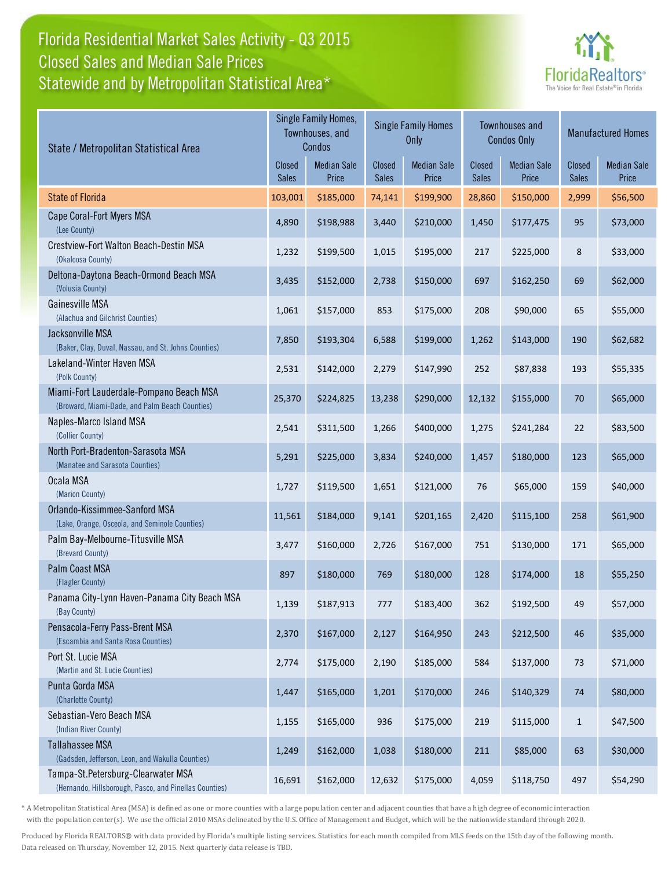## Florida Residential Market Sales Activity - Q3 2015 Statewide and by Metropolitan Statistical Area\* Closed Sales and Median Sale Prices



| State / Metropolitan Statistical Area                                                        |                               | Single Family Homes,<br>Townhouses, and<br>Condos |                        | <b>Single Family Homes</b><br>Only |                               | <b>Townhouses and</b><br><b>Condos Only</b> | <b>Manufactured Homes</b> |                             |  |
|----------------------------------------------------------------------------------------------|-------------------------------|---------------------------------------------------|------------------------|------------------------------------|-------------------------------|---------------------------------------------|---------------------------|-----------------------------|--|
|                                                                                              | <b>Closed</b><br><b>Sales</b> | <b>Median Sale</b><br>Price                       | Closed<br><b>Sales</b> | <b>Median Sale</b><br>Price        | <b>Closed</b><br><b>Sales</b> | <b>Median Sale</b><br>Price                 | Closed<br><b>Sales</b>    | <b>Median Sale</b><br>Price |  |
| <b>State of Florida</b>                                                                      | 103,001                       | \$185,000                                         | 74,141                 | \$199,900                          | 28,860                        | \$150,000                                   | 2,999                     | \$56,500                    |  |
| Cape Coral-Fort Myers MSA<br>(Lee County)                                                    | 4,890                         | \$198,988                                         | 3,440                  | \$210,000                          | 1,450                         | \$177,475                                   | 95                        | \$73,000                    |  |
| Crestview-Fort Walton Beach-Destin MSA<br>(Okaloosa County)                                  | 1,232                         | \$199,500                                         | 1,015                  | \$195,000                          | 217                           | \$225,000                                   | 8                         | \$33,000                    |  |
| Deltona-Daytona Beach-Ormond Beach MSA<br>(Volusia County)                                   | 3,435                         | \$152,000                                         | 2,738                  | \$150,000                          | 697                           | \$162,250                                   | 69                        | \$62,000                    |  |
| Gainesville MSA<br>(Alachua and Gilchrist Counties)                                          | 1,061                         | \$157,000                                         | 853                    | \$175,000                          | 208                           | \$90,000                                    | 65                        | \$55,000                    |  |
| Jacksonville MSA<br>(Baker, Clay, Duval, Nassau, and St. Johns Counties)                     | 7,850                         | \$193,304                                         | 6,588                  | \$199,000                          | 1,262                         | \$143,000                                   | 190                       | \$62,682                    |  |
| Lakeland-Winter Haven MSA<br>(Polk County)                                                   | 2,531                         | \$142,000                                         | 2,279                  | \$147,990                          | 252                           | \$87,838                                    | 193                       | \$55,335                    |  |
| Miami-Fort Lauderdale-Pompano Beach MSA<br>(Broward, Miami-Dade, and Palm Beach Counties)    | 25,370                        | \$224,825                                         | 13,238                 | \$290,000                          | 12,132                        | \$155,000                                   | 70                        | \$65,000                    |  |
| Naples-Marco Island MSA<br>(Collier County)                                                  | 2,541                         | \$311,500                                         | 1,266                  | \$400,000                          | 1,275                         | \$241,284                                   | 22                        | \$83,500                    |  |
| North Port-Bradenton-Sarasota MSA<br>(Manatee and Sarasota Counties)                         | 5,291                         | \$225,000                                         | 3,834                  | \$240,000                          | 1,457                         | \$180,000                                   | 123                       | \$65,000                    |  |
| Ocala MSA<br>(Marion County)                                                                 | 1,727                         | \$119,500                                         | 1,651                  | \$121,000                          | 76                            | \$65,000                                    | 159                       | \$40,000                    |  |
| Orlando-Kissimmee-Sanford MSA<br>(Lake, Orange, Osceola, and Seminole Counties)              | 11,561                        | \$184,000                                         | 9,141                  | \$201,165                          | 2,420                         | \$115,100                                   | 258                       | \$61,900                    |  |
| Palm Bay-Melbourne-Titusville MSA<br>(Brevard County)                                        | 3,477                         | \$160,000                                         | 2,726                  | \$167,000                          | 751                           | \$130,000                                   | 171                       | \$65,000                    |  |
| Palm Coast MSA<br>(Flagler County)                                                           | 897                           | \$180,000                                         | 769                    | \$180,000                          | 128                           | \$174,000                                   | 18                        | \$55,250                    |  |
| Panama City-Lynn Haven-Panama City Beach MSA<br>(Bay County)                                 | 1,139                         | \$187,913                                         | 777                    | \$183,400                          | 362                           | \$192,500                                   | 49                        | \$57,000                    |  |
| Pensacola-Ferry Pass-Brent MSA<br>(Escambia and Santa Rosa Counties)                         | 2,370                         | \$167,000                                         | 2,127                  | \$164,950                          | 243                           | \$212,500                                   | 46                        | \$35,000                    |  |
| Port St. Lucie MSA<br>(Martin and St. Lucie Counties)                                        | 2,774                         | \$175,000                                         | 2,190                  | \$185,000                          | 584                           | \$137,000                                   | $73\,$                    | \$71,000                    |  |
| Punta Gorda MSA<br>(Charlotte County)                                                        | 1,447                         | \$165,000                                         | 1,201                  | \$170,000                          | 246                           | \$140,329                                   | $74\,$                    | \$80,000                    |  |
| Sebastian-Vero Beach MSA<br>(Indian River County)                                            | 1,155                         | \$165,000                                         | 936                    | \$175,000                          | 219                           | \$115,000                                   | $\mathbf{1}$              | \$47,500                    |  |
| <b>Tallahassee MSA</b><br>(Gadsden, Jefferson, Leon, and Wakulla Counties)                   | 1,249                         | \$162,000                                         | 1,038                  | \$180,000                          | 211                           | \$85,000                                    | 63                        | \$30,000                    |  |
| Tampa-St.Petersburg-Clearwater MSA<br>(Hernando, Hillsborough, Pasco, and Pinellas Counties) | 16,691                        | \$162,000                                         | 12,632                 | \$175,000                          | 4,059                         | \$118,750                                   | 497                       | \$54,290                    |  |

\* A Metropolitan Statistical Area (MSA) is defined as one or more counties with a large population center and adjacent counties that have a high degree of economic interaction with the population center(s). We use the official 2010 MSAs delineated by the U.S. Office of Management and Budget, which will be the nationwide standard through 2020.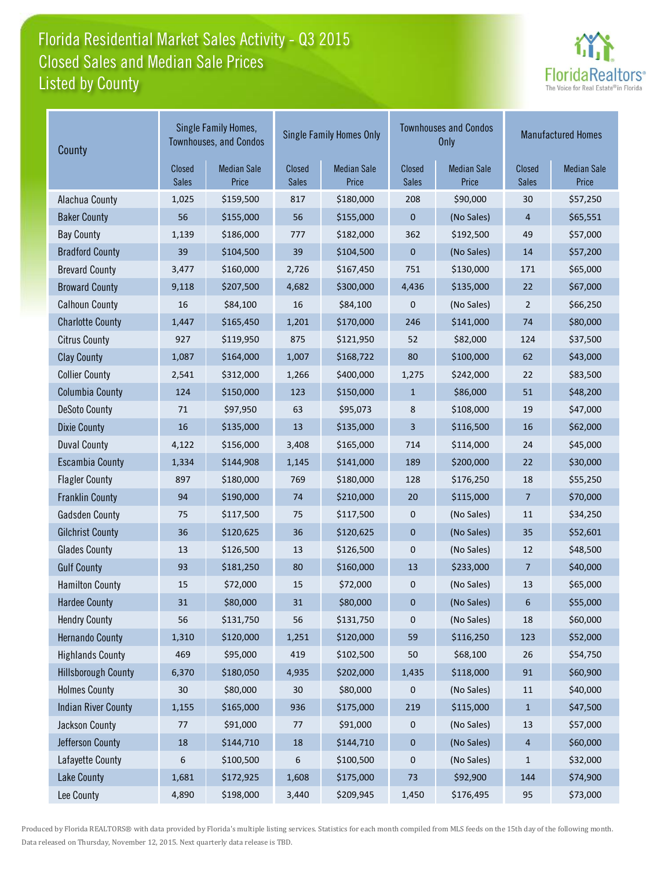# Florida Residential Market Sales Activity - Q3 2015 Listed by County Closed Sales and Median Sale Prices



| County                     |                        | Single Family Homes,<br><b>Townhouses, and Condos</b> |                        | <b>Single Family Homes Only</b> |                        | <b>Townhouses and Condos</b><br><b>Only</b> | <b>Manufactured Homes</b> |                             |
|----------------------------|------------------------|-------------------------------------------------------|------------------------|---------------------------------|------------------------|---------------------------------------------|---------------------------|-----------------------------|
|                            | Closed<br><b>Sales</b> | <b>Median Sale</b><br>Price                           | Closed<br><b>Sales</b> | <b>Median Sale</b><br>Price     | Closed<br><b>Sales</b> | <b>Median Sale</b><br>Price                 | Closed<br><b>Sales</b>    | <b>Median Sale</b><br>Price |
| Alachua County             | 1,025                  | \$159,500                                             | 817                    | \$180,000                       | 208                    | \$90,000                                    | 30                        | \$57,250                    |
| <b>Baker County</b>        | 56                     | \$155,000                                             | 56                     | \$155,000                       | $\mathbf{0}$           | (No Sales)                                  | 4                         | \$65,551                    |
| <b>Bay County</b>          | 1,139                  | \$186,000                                             | 777                    | \$182,000                       | 362                    | \$192,500                                   | 49                        | \$57,000                    |
| <b>Bradford County</b>     | 39                     | \$104,500                                             | 39                     | \$104,500                       | 0                      | (No Sales)                                  | 14                        | \$57,200                    |
| <b>Brevard County</b>      | 3,477                  | \$160,000                                             | 2,726                  | \$167,450                       | 751                    | \$130,000                                   | 171                       | \$65,000                    |
| <b>Broward County</b>      | 9,118                  | \$207,500                                             | 4,682                  | \$300,000                       | 4,436                  | \$135,000                                   | 22                        | \$67,000                    |
| <b>Calhoun County</b>      | 16                     | \$84,100                                              | 16                     | \$84,100                        | 0                      | (No Sales)                                  | $\overline{2}$            | \$66,250                    |
| <b>Charlotte County</b>    | 1,447                  | \$165,450                                             | 1,201                  | \$170,000                       | 246                    | \$141,000                                   | 74                        | \$80,000                    |
| <b>Citrus County</b>       | 927                    | \$119,950                                             | 875                    | \$121,950                       | 52                     | \$82,000                                    | 124                       | \$37,500                    |
| <b>Clay County</b>         | 1,087                  | \$164,000                                             | 1,007                  | \$168,722                       | 80                     | \$100,000                                   | 62                        | \$43,000                    |
| <b>Collier County</b>      | 2,541                  | \$312,000                                             | 1,266                  | \$400,000                       | 1,275                  | \$242,000                                   | 22                        | \$83,500                    |
| <b>Columbia County</b>     | 124                    | \$150,000                                             | 123                    | \$150,000                       | $\mathbf{1}$           | \$86,000                                    | 51                        | \$48,200                    |
| <b>DeSoto County</b>       | 71                     | \$97,950                                              | 63                     | \$95,073                        | 8                      | \$108,000                                   | 19                        | \$47,000                    |
| <b>Dixie County</b>        | 16                     | \$135,000                                             | 13                     | \$135,000                       | 3                      | \$116,500                                   | 16                        | \$62,000                    |
| <b>Duval County</b>        | 4,122                  | \$156,000                                             | 3,408                  | \$165,000                       | 714                    | \$114,000                                   | 24                        | \$45,000                    |
| <b>Escambia County</b>     | 1,334                  | \$144,908                                             | 1,145                  | \$141,000                       | 189                    | \$200,000                                   | 22                        | \$30,000                    |
| <b>Flagler County</b>      | 897                    | \$180,000                                             | 769                    | \$180,000                       | 128                    | \$176,250                                   | 18                        | \$55,250                    |
| <b>Franklin County</b>     | 94                     | \$190,000                                             | 74                     | \$210,000                       | 20                     | \$115,000                                   | 7                         | \$70,000                    |
| <b>Gadsden County</b>      | 75                     | \$117,500                                             | 75                     | \$117,500                       | 0                      | (No Sales)                                  | 11                        | \$34,250                    |
| <b>Gilchrist County</b>    | 36                     | \$120,625                                             | 36                     | \$120,625                       | $\pmb{0}$              | (No Sales)                                  | 35                        | \$52,601                    |
| <b>Glades County</b>       | 13                     | \$126,500                                             | 13                     | \$126,500                       | 0                      | (No Sales)                                  | 12                        | \$48,500                    |
| <b>Gulf County</b>         | 93                     | \$181,250                                             | 80                     | \$160,000                       | 13                     | \$233,000                                   | 7                         | \$40,000                    |
| <b>Hamilton County</b>     | 15                     | \$72,000                                              | 15                     | \$72,000                        | 0                      | (No Sales)                                  | 13                        | \$65,000                    |
| <b>Hardee County</b>       | 31                     | \$80,000                                              | 31                     | \$80,000                        | 0                      | (No Sales)                                  | 6                         | \$55,000                    |
| <b>Hendry County</b>       | 56                     | \$131,750                                             | 56                     | \$131,750                       | 0                      | (No Sales)                                  | $18\,$                    | \$60,000                    |
| <b>Hernando County</b>     | 1,310                  | \$120,000                                             | 1,251                  | \$120,000                       | 59                     | \$116,250                                   | 123                       | \$52,000                    |
| <b>Highlands County</b>    | 469                    | \$95,000                                              | 419                    | \$102,500                       | 50                     | \$68,100                                    | 26                        | \$54,750                    |
| <b>Hillsborough County</b> | 6,370                  | \$180,050                                             | 4,935                  | \$202,000                       | 1,435                  | \$118,000                                   | 91                        | \$60,900                    |
| <b>Holmes County</b>       | $30\,$                 | \$80,000                                              | 30                     | \$80,000                        | 0                      | (No Sales)                                  | 11                        | \$40,000                    |
| <b>Indian River County</b> | 1,155                  | \$165,000                                             | 936                    | \$175,000                       | 219                    | \$115,000                                   | $\mathbf{1}$              | \$47,500                    |
| <b>Jackson County</b>      | 77                     | \$91,000                                              | 77                     | \$91,000                        | 0                      | (No Sales)                                  | 13                        | \$57,000                    |
| Jefferson County           | 18                     | \$144,710                                             | $18\,$                 | \$144,710                       | 0                      | (No Sales)                                  | 4                         | \$60,000                    |
| Lafayette County           | 6                      | \$100,500                                             | 6                      | \$100,500                       | 0                      | (No Sales)                                  | $\mathbf{1}$              | \$32,000                    |
| Lake County                | 1,681                  | \$172,925                                             | 1,608                  | \$175,000                       | 73                     | \$92,900                                    | 144                       | \$74,900                    |
| Lee County                 | 4,890                  | \$198,000                                             | 3,440                  | \$209,945                       | 1,450                  | \$176,495                                   | 95                        | \$73,000                    |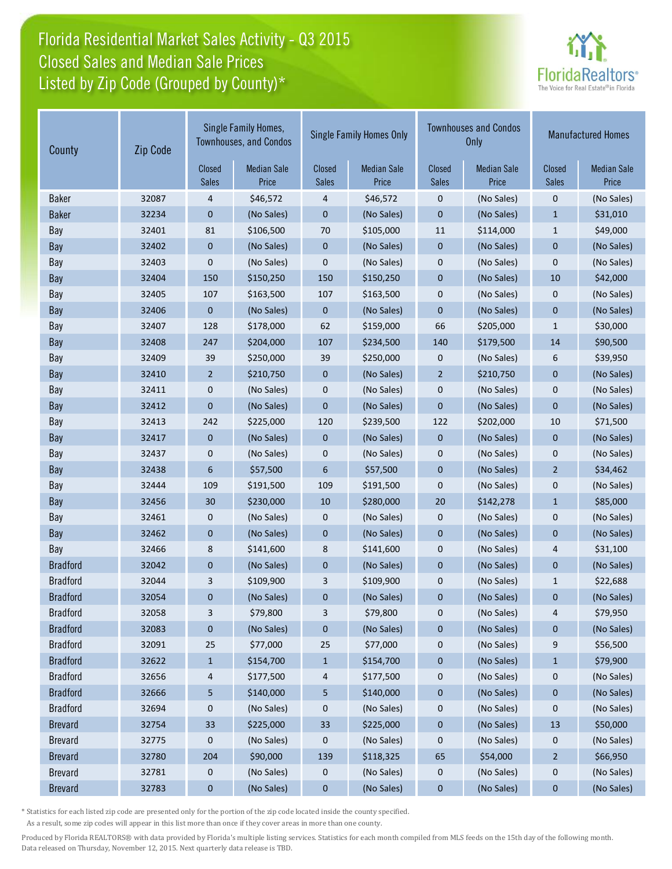# Florida Residential Market Sales Activity - Q3 2015 Listed by Zip Code (Grouped by County)\* Closed Sales and Median Sale Prices



| County          | Zip Code        | Single Family Homes,<br><b>Townhouses, and Condos</b> |                        | <b>Single Family Homes Only</b> |                        |                             | <b>Townhouses and Condos</b><br><b>Only</b> | <b>Manufactured Homes</b>   |            |
|-----------------|-----------------|-------------------------------------------------------|------------------------|---------------------------------|------------------------|-----------------------------|---------------------------------------------|-----------------------------|------------|
|                 | Closed<br>Sales | <b>Median Sale</b><br>Price                           | Closed<br><b>Sales</b> | <b>Median Sale</b><br>Price     | Closed<br><b>Sales</b> | <b>Median Sale</b><br>Price | Closed<br><b>Sales</b>                      | <b>Median Sale</b><br>Price |            |
| <b>Baker</b>    | 32087           | 4                                                     | \$46,572               | 4                               | \$46,572               | $\mathbf 0$                 | (No Sales)                                  | $\mathbf 0$                 | (No Sales) |
| <b>Baker</b>    | 32234           | $\mathbf{0}$                                          | (No Sales)             | $\pmb{0}$                       | (No Sales)             | $\mathbf 0$                 | (No Sales)                                  | $\mathbf{1}$                | \$31,010   |
| Bay             | 32401           | 81                                                    | \$106,500              | 70                              | \$105,000              | 11                          | \$114,000                                   | $\mathbf{1}$                | \$49,000   |
| Bay             | 32402           | $\boldsymbol{0}$                                      | (No Sales)             | $\pmb{0}$                       | (No Sales)             | $\mathbf{0}$                | (No Sales)                                  | $\mathbf 0$                 | (No Sales) |
| Bay             | 32403           | 0                                                     | (No Sales)             | 0                               | (No Sales)             | $\mathbf 0$                 | (No Sales)                                  | $\mathbf 0$                 | (No Sales) |
| Bay             | 32404           | 150                                                   | \$150,250              | 150                             | \$150,250              | $\mathbf{0}$                | (No Sales)                                  | 10                          | \$42,000   |
| Bay             | 32405           | 107                                                   | \$163,500              | 107                             | \$163,500              | $\pmb{0}$                   | (No Sales)                                  | 0                           | (No Sales) |
| Bay             | 32406           | $\mathbf 0$                                           | (No Sales)             | $\mathbf 0$                     | (No Sales)             | $\mathbf{0}$                | (No Sales)                                  | $\mathbf{0}$                | (No Sales) |
| Bay             | 32407           | 128                                                   | \$178,000              | 62                              | \$159,000              | 66                          | \$205,000                                   | $1\,$                       | \$30,000   |
| Bay             | 32408           | 247                                                   | \$204,000              | 107                             | \$234,500              | 140                         | \$179,500                                   | 14                          | \$90,500   |
| Bay             | 32409           | 39                                                    | \$250,000              | 39                              | \$250,000              | $\mathbf 0$                 | (No Sales)                                  | 6                           | \$39,950   |
| Bay             | 32410           | $\overline{2}$                                        | \$210,750              | $\mathbf 0$                     | (No Sales)             | $\overline{2}$              | \$210,750                                   | $\mathbf{0}$                | (No Sales) |
| Bay             | 32411           | 0                                                     | (No Sales)             | 0                               | (No Sales)             | $\pmb{0}$                   | (No Sales)                                  | $\mathbf 0$                 | (No Sales) |
| Bay             | 32412           | $\mathbf 0$                                           | (No Sales)             | $\mathbf 0$                     | (No Sales)             | $\mathbf{0}$                | (No Sales)                                  | $\mathbf{0}$                | (No Sales) |
| Bay             | 32413           | 242                                                   | \$225,000              | 120                             | \$239,500              | 122                         | \$202,000                                   | 10                          | \$71,500   |
| Bay             | 32417           | $\mathbf 0$                                           | (No Sales)             | 0                               | (No Sales)             | $\mathbf 0$                 | (No Sales)                                  | $\mathbf{0}$                | (No Sales) |
| Bay             | 32437           | $\mathbf 0$                                           | (No Sales)             | 0                               | (No Sales)             | $\mathbf 0$                 | (No Sales)                                  | 0                           | (No Sales) |
| Bay             | 32438           | 6                                                     | \$57,500               | 6                               | \$57,500               | $\mathbf{0}$                | (No Sales)                                  | $\overline{2}$              | \$34,462   |
| Bay             | 32444           | 109                                                   | \$191,500              | 109                             | \$191,500              | $\mathbf 0$                 | (No Sales)                                  | $\mathbf 0$                 | (No Sales) |
| Bay             | 32456           | 30                                                    | \$230,000              | 10                              | \$280,000              | 20                          | \$142,278                                   | $\mathbf{1}$                | \$85,000   |
| Bay             | 32461           | 0                                                     | (No Sales)             | 0                               | (No Sales)             | $\pmb{0}$                   | (No Sales)                                  | $\pmb{0}$                   | (No Sales) |
| Bay             | 32462           | $\pmb{0}$                                             | (No Sales)             | $\pmb{0}$                       | (No Sales)             | $\mathbf 0$                 | (No Sales)                                  | $\mathbf 0$                 | (No Sales) |
| Bay             | 32466           | 8                                                     | \$141,600              | 8                               | \$141,600              | $\mathbf 0$                 | (No Sales)                                  | 4                           | \$31,100   |
| <b>Bradford</b> | 32042           | $\mathbf 0$                                           | (No Sales)             | $\mathbf 0$                     | (No Sales)             | $\mathbf{0}$                | (No Sales)                                  | $\mathbf{0}$                | (No Sales) |
| <b>Bradford</b> | 32044           | 3                                                     | \$109,900              | 3                               | \$109,900              | $\mathbf 0$                 | (No Sales)                                  | $\mathbf{1}$                | \$22,688   |
| <b>Bradford</b> | 32054           | 0                                                     | (No Sales)             | 0                               | (No Sales)             | 0                           | (No Sales)                                  | $\mathbf 0$                 | (No Sales) |
| <b>Bradford</b> | 32058           | 3                                                     | \$79,800               | 3                               | \$79,800               | 0                           | (No Sales)                                  | 4                           | \$79,950   |
| <b>Bradford</b> | 32083           | 0                                                     | (No Sales)             | 0                               | (No Sales)             | $\bf{0}$                    | (No Sales)                                  | $\boldsymbol{0}$            | (No Sales) |
| <b>Bradford</b> | 32091           | 25                                                    | \$77,000               | 25                              | \$77,000               | $\boldsymbol{0}$            | (No Sales)                                  | 9                           | \$56,500   |
| <b>Bradford</b> | 32622           | $\mathbf{1}$                                          | \$154,700              | $\mathbf{1}$                    | \$154,700              | $\boldsymbol{0}$            | (No Sales)                                  | $\mathbf{1}$                | \$79,900   |
| <b>Bradford</b> | 32656           | 4                                                     | \$177,500              | 4                               | \$177,500              | $\boldsymbol{0}$            | (No Sales)                                  | $\boldsymbol{0}$            | (No Sales) |
| <b>Bradford</b> | 32666           | 5                                                     | \$140,000              | 5                               | \$140,000              | $\bf{0}$                    | (No Sales)                                  | $\boldsymbol{0}$            | (No Sales) |
| <b>Bradford</b> | 32694           | 0                                                     | (No Sales)             | 0                               | (No Sales)             | 0                           | (No Sales)                                  | 0                           | (No Sales) |
| <b>Brevard</b>  | 32754           | 33                                                    | \$225,000              | 33                              | \$225,000              | $\pmb{0}$                   | (No Sales)                                  | 13                          | \$50,000   |
| <b>Brevard</b>  | 32775           | 0                                                     | (No Sales)             | 0                               | (No Sales)             | $\boldsymbol{0}$            | (No Sales)                                  | 0                           | (No Sales) |
| <b>Brevard</b>  | 32780           | 204                                                   | \$90,000               | 139                             | \$118,325              | 65                          | \$54,000                                    | $\overline{2}$              | \$66,950   |
| <b>Brevard</b>  | 32781           | 0                                                     | (No Sales)             | 0                               | (No Sales)             | 0                           | (No Sales)                                  | $\boldsymbol{0}$            | (No Sales) |
| <b>Brevard</b>  | 32783           | $\bf{0}$                                              | (No Sales)             | $\pmb{0}$                       | (No Sales)             | $\pmb{0}$                   | (No Sales)                                  | $\pmb{0}$                   | (No Sales) |

\* Statistics for each listed zip code are presented only for the portion of the zip code located inside the county specified.

As a result, some zip codes will appear in this list more than once if they cover areas in more than one county.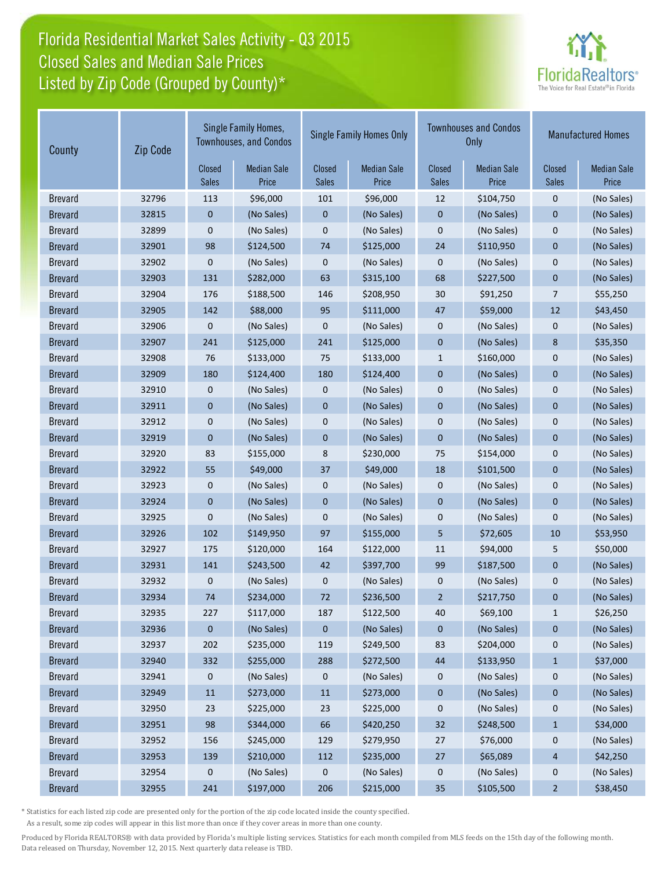# Florida Residential Market Sales Activity - Q3 2015 Listed by Zip Code (Grouped by County)\* Closed Sales and Median Sale Prices



| County         | Zip Code | Single Family Homes,<br><b>Townhouses, and Condos</b> |                             | <b>Single Family Homes Only</b> |                             | <b>Townhouses and Condos</b><br>Only |                             | <b>Manufactured Homes</b> |                             |
|----------------|----------|-------------------------------------------------------|-----------------------------|---------------------------------|-----------------------------|--------------------------------------|-----------------------------|---------------------------|-----------------------------|
|                |          | Closed<br><b>Sales</b>                                | <b>Median Sale</b><br>Price | Closed<br><b>Sales</b>          | <b>Median Sale</b><br>Price | Closed<br><b>Sales</b>               | <b>Median Sale</b><br>Price | Closed<br><b>Sales</b>    | <b>Median Sale</b><br>Price |
| <b>Brevard</b> | 32796    | 113                                                   | \$96,000                    | 101                             | \$96,000                    | 12                                   | \$104,750                   | 0                         | (No Sales)                  |
| <b>Brevard</b> | 32815    | $\mathbf 0$                                           | (No Sales)                  | $\boldsymbol{0}$                | (No Sales)                  | $\boldsymbol{0}$                     | (No Sales)                  | $\pmb{0}$                 | (No Sales)                  |
| <b>Brevard</b> | 32899    | $\mathbf 0$                                           | (No Sales)                  | $\mathbf 0$                     | (No Sales)                  | $\mathbf 0$                          | (No Sales)                  | $\boldsymbol{0}$          | (No Sales)                  |
| <b>Brevard</b> | 32901    | 98                                                    | \$124,500                   | 74                              | \$125,000                   | 24                                   | \$110,950                   | $\mathbf 0$               | (No Sales)                  |
| <b>Brevard</b> | 32902    | $\mathbf 0$                                           | (No Sales)                  | $\pmb{0}$                       | (No Sales)                  | $\mathbf 0$                          | (No Sales)                  | $\mathbf 0$               | (No Sales)                  |
| <b>Brevard</b> | 32903    | 131                                                   | \$282,000                   | 63                              | \$315,100                   | 68                                   | \$227,500                   | $\mathbf 0$               | (No Sales)                  |
| <b>Brevard</b> | 32904    | 176                                                   | \$188,500                   | 146                             | \$208,950                   | 30                                   | \$91,250                    | $\overline{7}$            | \$55,250                    |
| <b>Brevard</b> | 32905    | 142                                                   | \$88,000                    | 95                              | \$111,000                   | 47                                   | \$59,000                    | 12                        | \$43,450                    |
| <b>Brevard</b> | 32906    | $\mathbf 0$                                           | (No Sales)                  | 0                               | (No Sales)                  | $\boldsymbol{0}$                     | (No Sales)                  | 0                         | (No Sales)                  |
| <b>Brevard</b> | 32907    | 241                                                   | \$125,000                   | 241                             | \$125,000                   | $\mathbf{0}$                         | (No Sales)                  | 8                         | \$35,350                    |
| <b>Brevard</b> | 32908    | 76                                                    | \$133,000                   | 75                              | \$133,000                   | $\mathbf{1}$                         | \$160,000                   | $\mathbf 0$               | (No Sales)                  |
| <b>Brevard</b> | 32909    | 180                                                   | \$124,400                   | 180                             | \$124,400                   | $\mathbf 0$                          | (No Sales)                  | $\mathbf{0}$              | (No Sales)                  |
| <b>Brevard</b> | 32910    | 0                                                     | (No Sales)                  | 0                               | (No Sales)                  | $\mathbf 0$                          | (No Sales)                  | $\mathbf 0$               | (No Sales)                  |
| <b>Brevard</b> | 32911    | $\pmb{0}$                                             | (No Sales)                  | $\pmb{0}$                       | (No Sales)                  | $\mathbf 0$                          | (No Sales)                  | $\mathbf 0$               | (No Sales)                  |
| <b>Brevard</b> | 32912    | $\pmb{0}$                                             | (No Sales)                  | $\mathbf 0$                     | (No Sales)                  | $\mathbf 0$                          | (No Sales)                  | $\mathbf 0$               | (No Sales)                  |
| <b>Brevard</b> | 32919    | $\mathbf{0}$                                          | (No Sales)                  | $\mathbf 0$                     | (No Sales)                  | $\mathbf{0}$                         | (No Sales)                  | $\mathbf 0$               | (No Sales)                  |
| <b>Brevard</b> | 32920    | 83                                                    | \$155,000                   | 8                               | \$230,000                   | 75                                   | \$154,000                   | $\mathbf 0$               | (No Sales)                  |
| <b>Brevard</b> | 32922    | 55                                                    | \$49,000                    | 37                              | \$49,000                    | 18                                   | \$101,500                   | $\pmb{0}$                 | (No Sales)                  |
| <b>Brevard</b> | 32923    | $\pmb{0}$                                             | (No Sales)                  | $\pmb{0}$                       | (No Sales)                  | $\mathbf 0$                          | (No Sales)                  | $\pmb{0}$                 | (No Sales)                  |
| <b>Brevard</b> | 32924    | $\mathbf{0}$                                          | (No Sales)                  | $\mathbf{0}$                    | (No Sales)                  | $\mathbf{0}$                         | (No Sales)                  | $\mathbf{0}$              | (No Sales)                  |
| <b>Brevard</b> | 32925    | $\mathbf 0$                                           | (No Sales)                  | $\mathbf 0$                     | (No Sales)                  | $\mathbf 0$                          | (No Sales)                  | $\mathbf 0$               | (No Sales)                  |
| <b>Brevard</b> | 32926    | 102                                                   | \$149,950                   | 97                              | \$155,000                   | 5                                    | \$72,605                    | 10                        | \$53,950                    |
| <b>Brevard</b> | 32927    | 175                                                   | \$120,000                   | 164                             | \$122,000                   | 11                                   | \$94,000                    | 5                         | \$50,000                    |
| <b>Brevard</b> | 32931    | 141                                                   | \$243,500                   | 42                              | \$397,700                   | 99                                   | \$187,500                   | $\mathbf{0}$              | (No Sales)                  |
| <b>Brevard</b> | 32932    | 0                                                     | (No Sales)                  | 0                               | (No Sales)                  | $\boldsymbol{0}$                     | (No Sales)                  | 0                         | (No Sales)                  |
| <b>Brevard</b> | 32934    | 74                                                    | \$234,000                   | 72                              | \$236,500                   | $\overline{2}$                       | \$217,750                   | 0                         | (No Sales)                  |
| <b>Brevard</b> | 32935    | 227                                                   | \$117,000                   | 187                             | \$122,500                   | 40                                   | \$69,100                    | $\mathbf{1}$              | \$26,250                    |
| <b>Brevard</b> | 32936    | $\boldsymbol{0}$                                      | (No Sales)                  | $\mathbf 0$                     | (No Sales)                  | $\mathbf 0$                          | (No Sales)                  | $\bf{0}$                  | (No Sales)                  |
| <b>Brevard</b> | 32937    | 202                                                   | \$235,000                   | 119                             | \$249,500                   | 83                                   | \$204,000                   | 0                         | (No Sales)                  |
| <b>Brevard</b> | 32940    | 332                                                   | \$255,000                   | 288                             | \$272,500                   | $44\,$                               | \$133,950                   | $\mathbf{1}$              | \$37,000                    |
| <b>Brevard</b> | 32941    | $\mathbf 0$                                           | (No Sales)                  | 0                               | (No Sales)                  | 0                                    | (No Sales)                  | 0                         | (No Sales)                  |
| <b>Brevard</b> | 32949    | $11\,$                                                | \$273,000                   | $11\,$                          | \$273,000                   | $\bf{0}$                             | (No Sales)                  | $\pmb{0}$                 | (No Sales)                  |
| <b>Brevard</b> | 32950    | 23                                                    | \$225,000                   | 23                              | \$225,000                   | 0                                    | (No Sales)                  | $\boldsymbol{0}$          | (No Sales)                  |
| <b>Brevard</b> | 32951    | 98                                                    | \$344,000                   | 66                              | \$420,250                   | 32                                   | \$248,500                   | $\mathbf{1}$              | \$34,000                    |
| <b>Brevard</b> | 32952    | 156                                                   | \$245,000                   | 129                             | \$279,950                   | 27                                   | \$76,000                    | 0                         | (No Sales)                  |
| <b>Brevard</b> | 32953    | 139                                                   | \$210,000                   | 112                             | \$235,000                   | 27                                   | \$65,089                    | $\overline{4}$            | \$42,250                    |
| <b>Brevard</b> | 32954    | 0                                                     | (No Sales)                  | 0                               | (No Sales)                  | 0                                    | (No Sales)                  | $\boldsymbol{0}$          | (No Sales)                  |
| <b>Brevard</b> | 32955    | 241                                                   | \$197,000                   | 206                             | \$215,000                   | 35                                   | \$105,500                   | $\overline{a}$            | \$38,450                    |

\* Statistics for each listed zip code are presented only for the portion of the zip code located inside the county specified.

As a result, some zip codes will appear in this list more than once if they cover areas in more than one county.